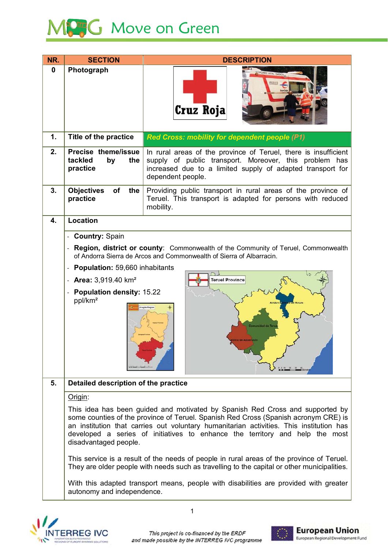

| NR.      | <b>SECTION</b>                                                                                                                                                                                                                                                                                                                                                           | <b>DESCRIPTION</b>                                                                                                                                                                                           |  |
|----------|--------------------------------------------------------------------------------------------------------------------------------------------------------------------------------------------------------------------------------------------------------------------------------------------------------------------------------------------------------------------------|--------------------------------------------------------------------------------------------------------------------------------------------------------------------------------------------------------------|--|
| $\bf{0}$ | Photograph                                                                                                                                                                                                                                                                                                                                                               | OPORTE VITAL BASICO<br>Cruz Roja                                                                                                                                                                             |  |
| 1.       | Title of the practice                                                                                                                                                                                                                                                                                                                                                    | <b>Red Cross: mobility for dependent people (P1)</b>                                                                                                                                                         |  |
| 2.       | Precise theme/issue<br>tackled<br>by<br>the<br>practice                                                                                                                                                                                                                                                                                                                  | In rural areas of the province of Teruel, there is insufficient<br>supply of public transport. Moreover, this problem has<br>increased due to a limited supply of adapted transport for<br>dependent people. |  |
| 3.       | <b>Objectives</b><br>of<br>the<br>practice                                                                                                                                                                                                                                                                                                                               | Providing public transport in rural areas of the province of<br>Teruel. This transport is adapted for persons with reduced<br>mobility.                                                                      |  |
| 4.       | <b>Location</b>                                                                                                                                                                                                                                                                                                                                                          |                                                                                                                                                                                                              |  |
|          | - Country: Spain                                                                                                                                                                                                                                                                                                                                                         |                                                                                                                                                                                                              |  |
|          | Region, district or county: Commonwealth of the Community of Teruel, Commonwealth<br>of Andorra Sierra de Arcos and Commonwealth of Sierra of Albarracin.                                                                                                                                                                                                                |                                                                                                                                                                                                              |  |
|          | <b>Population: 59,660 inhabitants</b>                                                                                                                                                                                                                                                                                                                                    |                                                                                                                                                                                                              |  |
|          | - Area: $3,919.40$ km <sup>2</sup><br><b>Population density: 15.22</b><br>ppl/km <sup>2</sup>                                                                                                                                                                                                                                                                            | <b>Teruel Province</b><br>agón Region<br><b>Comunidad de Teru</b><br>ra de Albarracín                                                                                                                        |  |
| 5.       | Detailed description of the practice                                                                                                                                                                                                                                                                                                                                     |                                                                                                                                                                                                              |  |
|          | Origin:                                                                                                                                                                                                                                                                                                                                                                  |                                                                                                                                                                                                              |  |
|          | This idea has been guided and motivated by Spanish Red Cross and supported by<br>some counties of the province of Teruel. Spanish Red Cross (Spanish acronym CRE) is<br>an institution that carries out voluntary humanitarian activities. This institution has<br>developed a series of initiatives to enhance the territory and help the most<br>disadvantaged people. |                                                                                                                                                                                                              |  |
|          |                                                                                                                                                                                                                                                                                                                                                                          | This service is a result of the needs of people in rural areas of the province of Teruel.<br>They are older people with needs such as travelling to the capital or other municipalities.                     |  |
|          | autonomy and independence.                                                                                                                                                                                                                                                                                                                                               | With this adapted transport means, people with disabilities are provided with greater                                                                                                                        |  |



This project is co-financed by the ERDF and made possible by the INTERREG IVC programme

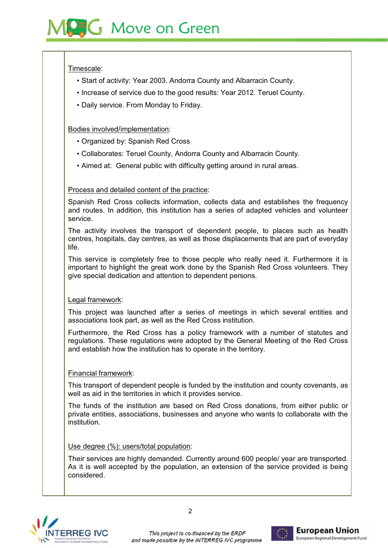#### Timescale:

- Start of activity: Year 2003. Andorra County and Albarracin County.
- Increase of service due to the good results: Year 2012. Teruel County.
- Daily service. From Monday to Friday.

# Bodies involved/implementation:

- Organized by: Spanish Red Cross
- Collaborates: Teruel County, Andorra County and Albarracin County.
- Aimed at: General public with difficulty getting around in rural areas.

#### Process and detailed content of the practice:

Spanish Red Cross collects information, collects data and establishes the frequency and routes. In addition, this institution has a series of adapted vehicles and volunteer service

The activity involves the transport of dependent people, to places such as health centres, hospitals, day centres, as well as those displacements that are part of everyday life.

This service is completely free to those people who really need it. Furthermore it is important to highlight the great work done by the Spanish Red Cross volunteers. They give special dedication and attention to dependent persons.

# Legal framework:

This project was launched after a series of meetings in which several entities and associations took part, as well as the Red Cross institution.

Furthermore, the Red Cross has a policy framework with a number of statutes and regulations. These regulations were adopted by the General Meeting of the Red Cross and establish how the institution has to operate in the territory.

# Financial framework:

This transport of dependent people is funded by the institution and county covenants, as well as aid in the territories in which it provides service.

The funds of the institution are based on Red Cross donations, from either public or private entities, associations, businesses and anyone who wants to collaborate with the institution.

#### Use degree (%): users/total population:

Their services are highly demanded. Currently around 600 people/ year are transported. As it is well accepted by the population, an extension of the service provided is being considered.